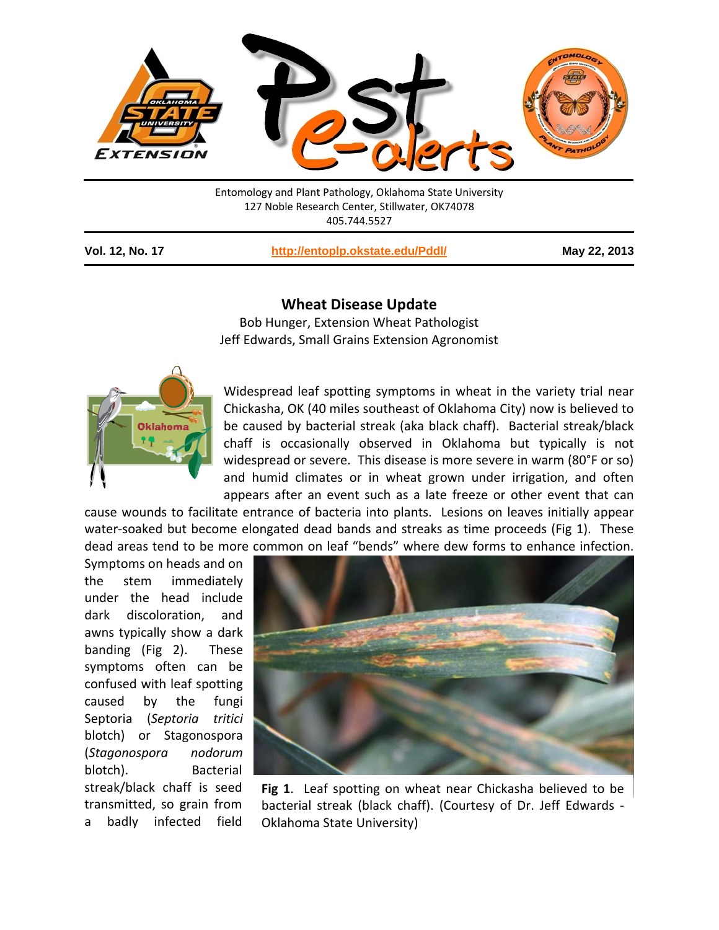

Entomology and Plant Pathology, Oklahoma State University 127 Noble Research Center, Stillwater, OK74078 405.744.5527

**Vol. 12, No. 17 <http://entoplp.okstate.edu/Pddl/> May 22, 2013**

## **Wheat Disease Update**

Bob Hunger, Extension Wheat Pathologist Jeff Edwards, Small Grains Extension Agronomist



Widespread leaf spotting symptoms in wheat in the variety trial near Chickasha, OK (40 miles southeast of Oklahoma City) now is believed to be caused by bacterial streak (aka black chaff). Bacterial streak/black chaff is occasionally observed in Oklahoma but typically is not widespread or severe. This disease is more severe in warm (80°F or so) and humid climates or in wheat grown under irrigation, and often appears after an event such as a late freeze or other event that can

cause wounds to facilitate entrance of bacteria into plants. Lesions on leaves initially appear water-soaked but become elongated dead bands and streaks as time proceeds (Fig 1). These dead areas tend to be more common on leaf "bends" where dew forms to enhance infection.

Symptoms on heads and on the stem immediately under the head include dark discoloration, and awns typically show a dark banding (Fig 2). These symptoms often can be confused with leaf spotting caused by the fungi Septoria (*Septoria tritici* blotch) or Stagonospora (*Stagonospora nodorum* blotch). Bacterial streak/black chaff is seed transmitted, so grain from a badly infected field



**Fig 1**. Leaf spotting on wheat near Chickasha believed to be bacterial streak (black chaff). (Courtesy of Dr. Jeff Edwards - Oklahoma State University)